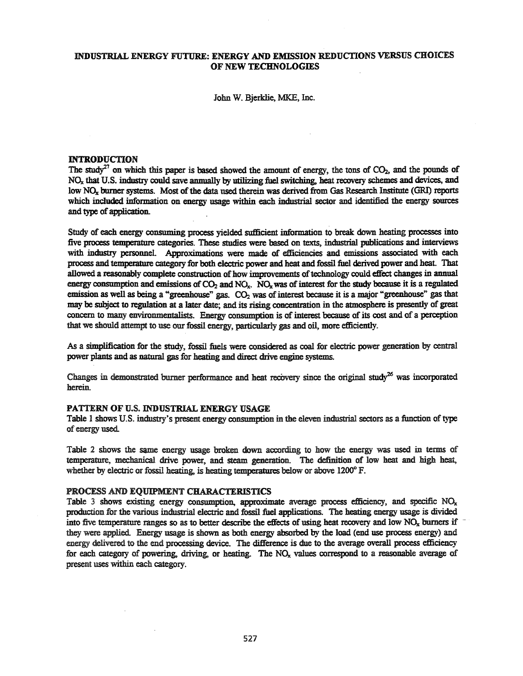# INDUSTRIAL ENERGY FUTURE: ENERGY AND EMISSION REDUCTIONS VERSUS CHOICES OF NEW TECHNOLOGIES

John W. Bjerklie, MKE, Inc.

#### **INTRODUCTION**

The study<sup>27</sup> on which this paper is based showed the amount of energy, the tons of  $CO<sub>2</sub>$ , and the pounds of NO<sub>x</sub> that U.S. industry could save annually by utilizing fuel switching, heat recovery schemes and devices, and low NO<sub>x</sub> burner systems. Most of the data used therein was derived from Gas Research Institute (GRI) reports which included information on energy usage within each industrial sector and identified the energy sources and type of application.

Study of each energy consuming process yielded sufficient information to break down heating processes into five process temperature categories. These studies were based on texts, industrial publications and interviews with industry personnel. Approximations were made of efficiencies and emissions associated with each process and temperature category for both electric power and heat and fossil fuel derived power and heat. That allowed a reasonably complete construction of how improvements of technology could effect changes in annual energy consumption and emissions of  $CO_2$  and  $NO_x$ .  $NO_x$  was of interest for the study because it is a regulated emission as well as being a "greenhouse" gas.  $CO<sub>2</sub>$  was of interest because it is a major "greenhouse" gas that may be subject to regulation at a later date; and its rising concentration in the atmosphere is presently of great concern to many environmentalists. Energy consumption is of interest because of its cost and of a perception that we should attempt to use our fossil energy, particularly gas and oil, more efficiently.

As a simplification for the study, fossil fuels were considered as coal for electric power generation by central power plants and as natural gas for heating and direct drive engine systems.

Changes in demonstrated burner performance and heat recovery since the original study<sup>26</sup> was incorporated herein.

#### PATTERN OF U.S. INDUSTRIAL ENERGY USAGE

Table 1 shows U.S. industry's present energy consumption in the eleven industrial sectors as a function of type of energy used

Table 2 shows the same energy usage broken down according to how the energy was used in terms of temperature, mechanical drive power, and steam generation. The definition of low heat and high heat, whether by electric or fossil heating, is heating temperatures below or above 1200°F.

#### PROCESS AND EQUIPMENT CHARACTERISTICS

Table 3 shows existing energy consumption, approximate average process efficiency, and specific  $NO_x$ production for the various industrial electric and fossil fuel applications. The heating energy usage is divided into five temperature ranges so as to better describe the effects of using heat recovery and low  $NQ_x$  burners if they were applied. Energy usage is shown as both energy absorbed by the load (end use process energy) and energy delivered to the end processing device. The difference is due to the average overall process efficiency for each category of powering, driving, or heating. The  $NO<sub>x</sub>$  values correspond to a reasonable average of present uses within each category.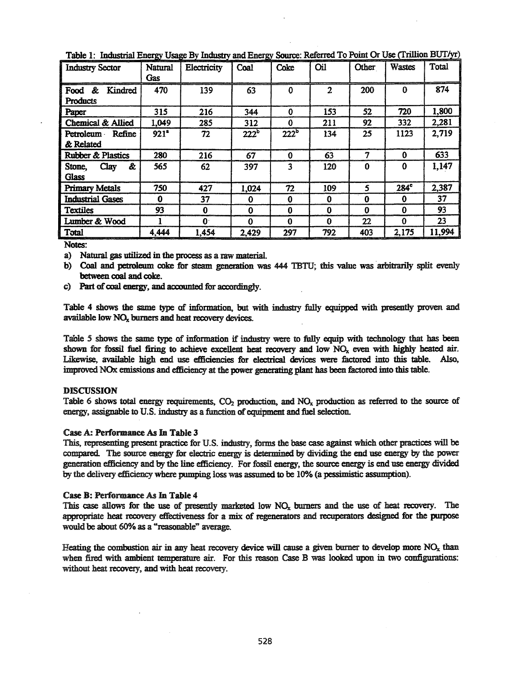| <b>Industry Sector</b>                  | Natural<br>Gas   | Electricity  | Coal             | Coke     | Oil            | Other    | <b>Wastes</b> | <b>Total</b> |
|-----------------------------------------|------------------|--------------|------------------|----------|----------------|----------|---------------|--------------|
| &<br>Kindred<br>Food<br><b>Products</b> | 470              | 139          | 63               | $\Omega$ | $\overline{2}$ | 200      | $\Omega$      | 874          |
| Paper                                   | 315              | 216          | 344              | 0        | 153            | 52       | 720           | 1,800        |
| Chemical & Allied                       | 1,049            | 285          | 312              | Ω        | 211            | 92       | 332           | 2,281        |
| Petroleum<br>Refine<br>& Related        | 921 <sup>°</sup> | 72           | 222 <sup>b</sup> | $222^b$  | 134            | 25       | 1123          | 2,719        |
| Rubber & Plastics                       | 280              | 216          | 67               | $\Omega$ | 63             | 7        | $\bf{0}$      | 633          |
| &<br>Clay<br>Stone,<br><b>Glass</b>     | 565              | 62           | 397              | 3        | 120            | O        | $\bf{0}$      | 1,147        |
| <b>Primary Metals</b>                   | 750              | 427          | 1,024            | 72       | 109            | 5        | $284^\circ$   | 2,387        |
| <b>Industrial Gases</b>                 | 0                | 37           | $\bf{0}$         | $\bf{0}$ | 0              | 0        | $\bf{0}$      | 37           |
| <b>Textiles</b>                         | 93               | 0            | $\bf{0}$         | 0        | 0              | $\Omega$ | 0             | 93           |
| Lumber & Wood                           |                  | $\mathbf{0}$ | $\Omega$         | $\bf{0}$ | $\bf{0}$       | 22       | $\bf{0}$      | 23           |
| Total                                   | 4,444            | 1,454        | 2,429            | 297      | 792            | 403      | 2,175         | 11,994       |

Table 1: Industrial Energy Usage By Industry and Energy Source: Referred To Point Or Use (Trillion BUT/yr)

a) Natural gas utilized in the process as a raw material.

b) Coal and petroleum coke for steam generation was 444 TBTU; this value was arbitrarily split evenly between coal and coke.

c) Part of coal energy, and accounted for accordingly.

Table 4 shows the same type of information, but with industry fully equipped with presently proven and available low  $NO<sub>x</sub>$  burners and heat recovery devices.

Table 5 shows the same type of information if industry were to fully equip with technology that has been shown for fossil fuel firing to achieve excellent heat recovery and low NO<sub>x</sub> even with highly heated air. Likewise, available high end use efficiencies for electrical devices were factored into this table. Also, improved NOx emissions and efficiency at the power generating plant bas been factored into this table.

## DISCUSSION

Table 6 shows total energy requirements,  $CO<sub>2</sub>$  production, and  $NO<sub>x</sub>$  production as referred to the source of energy, assignable to U.S. industry as a function of equipment and fuel selection.

## Case A: Performance As In Table 3

This, representing present practice for U.S. industry, forms the base case against which other practices will be compared. The source energy for electric energy is determined by dividing the end use energy by the power generation efficiency and by the line efficiency. For fossil energy, the source energy is end use energy divided by the delivery efficiency where pumping loss was assumed to be 10% (a pessimistic assumption).

## Case B: Performance As In Table 4

This case allows for the use of presently marketed low  $NO<sub>x</sub>$  burners and the use of heat recovery. The appropriate heat recovery effectiveness for a mix of regenerators and recuperators designed for the purpose would be about 60% as a "reasonable" average.

Heating the combustion air in any heat recovery device will cause a given burner to develop more  $NO<sub>x</sub>$  than when fired with ambient temperature air. For this reason Case B was looked upon in two configurations: without heat recovery, and with heat recovery.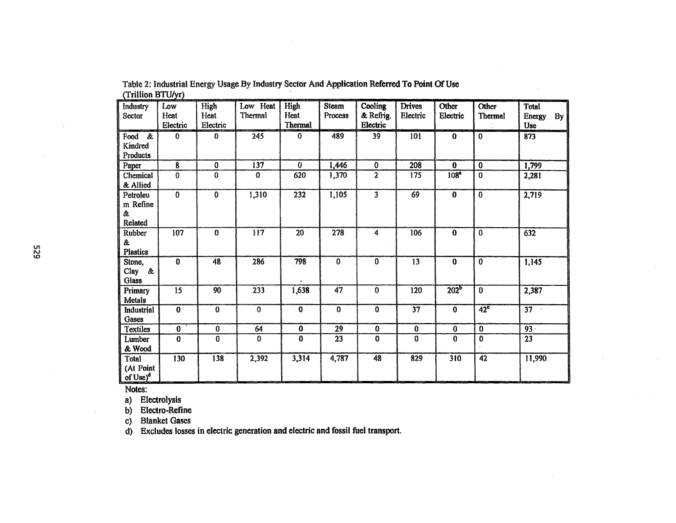| Industry<br>Sector                     | Low<br>Heat<br>Electric | High<br>Heat<br>Electric | Low Heat<br>Thermal | High<br>Heat<br>Thermal | <b>Steam</b><br>Process | Cooling<br>& Refrig.<br>Electric | <b>Drives</b><br>Electric | Other<br>Electric       | Other<br>Thermal | <b>Total</b><br>Energy<br>By<br>Use |
|----------------------------------------|-------------------------|--------------------------|---------------------|-------------------------|-------------------------|----------------------------------|---------------------------|-------------------------|------------------|-------------------------------------|
| Food &<br>Kindred<br>Products          | $\mathbf{0}$            | $\Omega$                 | 245                 | $\Omega$                | 489                     | 39                               | 101                       | $\bf{0}$                | $\bf{0}$         | 873                                 |
| Paper                                  | 8                       | $\bf{0}$                 | $\overline{137}$    | $\theta$                | 1,446                   | $\mathbf 0$                      | 208                       | $\bf{0}$                | $\bf{0}$         | 1,799                               |
| Chemical<br>& Allied                   | $\bf{0}$                | $\bf{0}$                 | $\mathbf{0}$        | 620                     | 1,370                   | $\overline{2}$                   | 175                       | 108 <sup>a</sup>        | $\mathbf{0}$     | 2,281                               |
| Petroleu<br>m Refine<br>&.<br>Related  | $\bf{0}$                | $\mathbf{0}$             | 1,310               | 232                     | 1,105                   | $\overline{3}$                   | 69                        | $\bf{0}$                | $\bf{0}$         | 2,719                               |
| <b>Rubber</b><br>&.<br><b>Plastics</b> | 107                     | $\mathbf{0}$             | 117                 | 20                      | 278                     | 4                                | 106                       | $\bf{0}$                | $\bf{0}$         | 632                                 |
| Stone,<br>Clay &<br>Glass              | $\overline{0}$          | 48                       | 286                 | 798                     | $\bf{0}$                | $\mathbf 0$                      | 13                        | $\overline{\mathbf{0}}$ | $\bf{0}$         | 1,145                               |
| Primary<br>Metals                      | $\overline{15}$         | 90                       | 233                 | 1,638                   | $\overline{47}$         | $\mathbf 0$                      | 120                       | 202 <sup>b</sup>        | $\bf{0}$         | 2,387                               |
| Industrial<br>Gases                    | $\bf{0}$                | $\bf{0}$                 | $\mathbf 0$         | $\mathbf{0}$            | $\mathbf{0}$            | $\ddot{\mathbf{0}}$              | $\overline{37}$           | $\bf{0}$                | $42^{\circ}$     | $\overline{37}$                     |
| <b>Textiles</b>                        | $\bf{0}$                | $\bf{0}$                 | 64                  | $\bf{0}$                | 29                      | $\mathbf 0$                      | $\bf{0}$                  | $\bf{0}$                | $\bf{0}$         | $93 -$                              |
| Lumber<br>& Wood                       | $\bf{0}$                | $\bf{0}$                 | $\bf{0}$            | $\bf{0}$                | 23                      | $\bf{0}$                         | $\bf{0}$                  | 0                       | $\mathbf 0$      | 23                                  |
| Total<br>(At Point<br>of $Use)^d$      | 130                     | 138                      | 2,392               | 3,314                   | 4,787                   | 48                               | 829                       | 310                     | 42               | 11,990                              |

Table 2: Industrial Energy Usage By Industry Sector And Application Referred To Point OfUse (Trillion BTU/yr)

a) Electrolysis

b) Electro-Refine

c) Blanket Gases

d) Excludes losses in electric generation and electric and fossil fuel transport.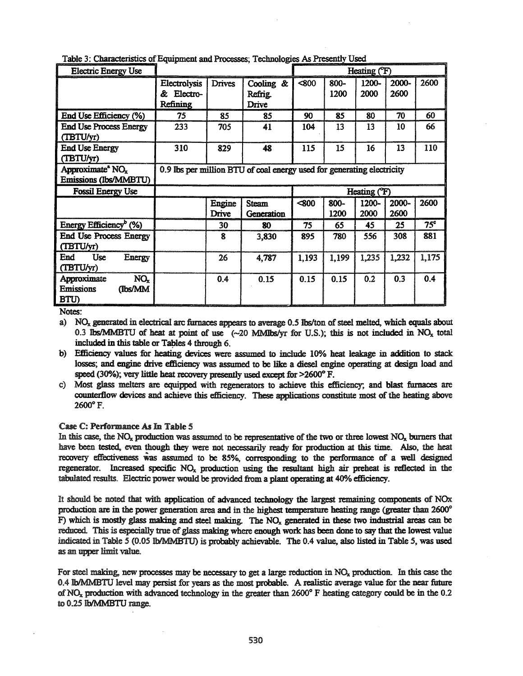| <b>Electric Energy Use</b>                                            |                                            |                 |                                                                        |       |                 | Heating (F)          |               |                 |
|-----------------------------------------------------------------------|--------------------------------------------|-----------------|------------------------------------------------------------------------|-------|-----------------|----------------------|---------------|-----------------|
|                                                                       | Electrolysis<br>æ.<br>Electro-<br>Refining | <b>Drives</b>   | Cooling &<br>Refrig.<br>Drive                                          | < 800 | $800 -$<br>1200 | 1200-<br>2000        | 2000-<br>2600 | 2600            |
| End Use Efficiency (%)                                                | 75                                         | 85              | 85                                                                     | 90    | 85              | 80                   | 70            | 60              |
| <b>End Use Process Energy</b><br>(TBTU/yr)                            | 233                                        | 705             | 41                                                                     | 104   | 13              | 13                   | 10            | 66              |
| <b>End Use Energy</b><br>(TBTU/yr)                                    | 310                                        | 829             | 48                                                                     | 115   | 15              | 16                   | 13            | 110             |
| Approximate <sup>®</sup> NO <sub>x</sub><br>Emissions (Ibs/MMBTU)     |                                            |                 | 0.9 lbs per million BTU of coal energy used for generating electricity |       |                 |                      |               |                 |
| <b>Fossil Energy Use</b>                                              |                                            |                 |                                                                        |       |                 | Heating (F)          |               |                 |
|                                                                       |                                            | Engine<br>Drive | <b>Steam</b><br>Generation                                             | < 800 | 800-<br>1200    | 1200-<br><b>2000</b> | 2000-<br>2600 | 2600            |
| Energy Efficiency <sup>b</sup> (%)                                    |                                            | 30              | 80                                                                     | 75    | 65              | 45                   | 25            | 75 <sup>c</sup> |
| <b>End Use Process Energy</b><br>(TBTU/yr)                            |                                            | 8               | 3,830                                                                  | 895   | 780             | 556                  | 308           | 881             |
| Use<br>End<br>Energy<br>(TBTU/yr)                                     |                                            | 26              | 4,787                                                                  | 1,193 | 1,199           | 1,235                | 1,232         | 1,175           |
| NO <sub>x</sub><br>Approximate<br><b>Emissions</b><br>(Ibs/MM<br>BTU) |                                            | 0.4             | 0.15                                                                   | 0.15  | 0.15            | 0.2                  | 0.3           | 0.4             |

Table 3: Characteristics of Equipment and Processes: Technologies As Presently Used

a) NO<sub>x</sub> generated in electrical arc furnaces appears to average 0.5 lbs/ton of steel melted, which equals about 0.3 lbs/MMBTU of heat at point of use  $(-20 \text{ MMllbs/yr}$  for U.S.); this is not included in NO<sub>x</sub> total included in this table or Tables 4 through 6.

- b) Efficiency values for heating devices were assumed to include 10% heat leakage in addition to stack losses; and engine drive efficiency was assumed to be like a diesel engine operating at design load and speed (30%); very little heat recovery presently used except for  $>2600^{\circ}$  F.
- c) Most glass melters are equipped with regenerators to achieve this efficiency; and blast furnaces are counterflow devices and achieve this efficiency. These applications constitute most of the heating above 26OO°F.

## Case C: Performance As In Table 5

In this case, the  $NO<sub>x</sub>$  production was assumed to be representative of the two or three lowest  $NO<sub>x</sub>$  burners that have been tested. even though they were not necessarily ready for production at this time. Also, the heat recovery effectiveness was assumed to be 85%, corresponding to the performance of a well designed regenerator. Increased specific  $NO<sub>x</sub>$  production using the resultant high air preheat is reflected in the tabulated results. Electric power would be provided from a plant operating at 40% efficiency.

It should be noted that with application of advanced technology the largest remaining components of NOx production are in the power generation area and in the highest temperature heating range (greater than 2600° F) which is mostly glass making and steel making. The  $NO<sub>x</sub>$  generated in these two industrial areas can be reduced. This is especially true of glass making where enough work has been done to say that the lowest value indicated in Table 5 (0.05 lb/MMBTU) is probably achievable. The 0.4 value, also listed in Table 5, was used as an upper limit value.

For steel making, new processes may be necessary to get a large reduction in  $NO<sub>x</sub>$  production. In this case the 0.4 IbIMMBTU level may persist for years as the most probable. A realistic average value for the near future of  $NO<sub>x</sub>$  production with advanced technology in the greater than 2600° F heating category could be in the 0.2 to 0.25 lb/MMBTU range.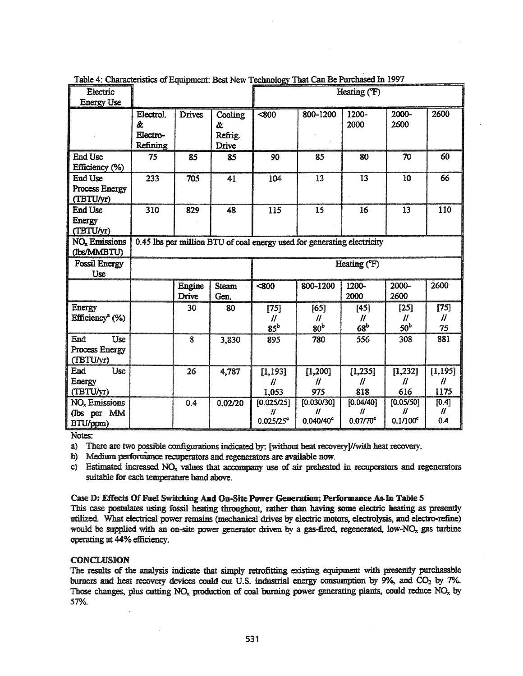|                                                      |                                         |                        |                                  |                                        | rative 4. Characteristics of Equipment, Dest New Technology That Call De Purchased in 1997 |                                            |                                             |                                   |
|------------------------------------------------------|-----------------------------------------|------------------------|----------------------------------|----------------------------------------|--------------------------------------------------------------------------------------------|--------------------------------------------|---------------------------------------------|-----------------------------------|
| Electric                                             |                                         |                        |                                  |                                        |                                                                                            | Heating ( <sup>°</sup> F)                  |                                             |                                   |
| <b>Energy Use</b>                                    |                                         |                        |                                  |                                        |                                                                                            |                                            |                                             |                                   |
|                                                      | Electrol.<br>&.<br>Electro-<br>Refining | <b>Drives</b>          | Cooling<br>&<br>Refrig.<br>Drive | <800                                   | 800-1200                                                                                   | 1200-<br>2000                              | 2000-<br>2600                               | 2600                              |
| <b>End Use</b><br>Efficiency (%)                     | 75                                      | 85                     | 85                               | 90                                     | 85                                                                                         | 80                                         | 70                                          | 60                                |
| <b>End Use</b><br><b>Process Energy</b><br>(TBTU/yr) | 233                                     | 705                    | 41                               | 104                                    | 13                                                                                         | 13                                         | 10                                          | 66                                |
| <b>End Use</b><br>Energy<br>(TBTU/yr)                | 310                                     | 829                    | 48                               | 115                                    | 15                                                                                         | 16                                         | 13                                          | 110                               |
| <b>NO<sub>x</sub></b> Emissions<br>(Ibs/MMBTU)       |                                         |                        |                                  |                                        | 0.45 lbs per million BTU of coal energy used for generating electricity                    |                                            |                                             |                                   |
|                                                      | Heating (°F)                            |                        |                                  |                                        |                                                                                            |                                            |                                             |                                   |
| <b>Fossil Energy</b><br><b>Use</b>                   |                                         |                        |                                  |                                        |                                                                                            |                                            |                                             |                                   |
|                                                      |                                         | Engine<br><b>Drive</b> | <b>Steam</b><br>Gen.             | $\overline{\textbf{800}}$              | 800-1200                                                                                   | 1200-<br>2000                              | 2000-<br>2600                               | 2600                              |
| <b>Energy</b><br>$Efficiencya$ (%)                   |                                         | 30                     | 80                               | $[75]$<br>$^{\prime\prime}$<br>$85^b$  | [65]<br>$\prime\prime$<br>80 <sup>b</sup>                                                  | $[45]$<br>$\mathcal{U}$<br>68 <sup>b</sup> | $[25]$<br>$\prime\prime$<br>50 <sup>b</sup> | $[75]$<br>$\mathcal{U}$<br>75     |
| End<br>Use<br><b>Process Energy</b><br>(TBTU/yr)     |                                         | 8                      | 3,830                            | 895                                    | 780                                                                                        | 556                                        | 308                                         | 881                               |
| Use<br>End<br>Energy<br>(TBTU/yr)                    |                                         | 26                     | 4,787                            | [1, 193]<br>$^{\prime\prime}$<br>1,053 | [1,200]<br>$\prime\prime$<br>975                                                           | [1,235]<br>$\prime\prime$<br>818           | [1, 232]<br>$\mathcal{U}$<br>616            | [1, 195]<br>$\mathcal{U}$<br>1175 |

ectoriation of Ecuipment: Doct New Technology That Can Be Durchaeod In 1007  $T - L1 - A$ .  $C L -$ 

a) There are two possible configurations indicated by: [without heat recovery]//with heat recovery.

b) Medium performance recuperators and regenerators are available now.

c) Estimated increased NO<sub>x</sub> values that accompany use of air preheated in recuperators and regenerators suitable for each temperature band above.

#### Case D: Effects Of Fuel Switching And On-Site Power Generation; Performance As In Table 5

This case postulates using fossil heating throughout, rather than having some electric heating as presently utilized. What electrical power remains (mechanical drives by electric motors, electrolysis, and electro-refine) would be supplied with an on-site power generator driven by a gas-fired, regenerated, low-NO<sub>x</sub> gas turbine operating at 44% efficiency.

## **CONCLUSION**

The results of the analysis indicate that simply retrofitting existing equipment with presently purchasable burners and heat recovery devices could cut U.S. industrial energy consumption by 9%, and CO<sub>2</sub> by 7%. Those changes, plus cutting  $NO_x$  production of coal burning power generating plants, could reduce  $NO_x$  by 57%.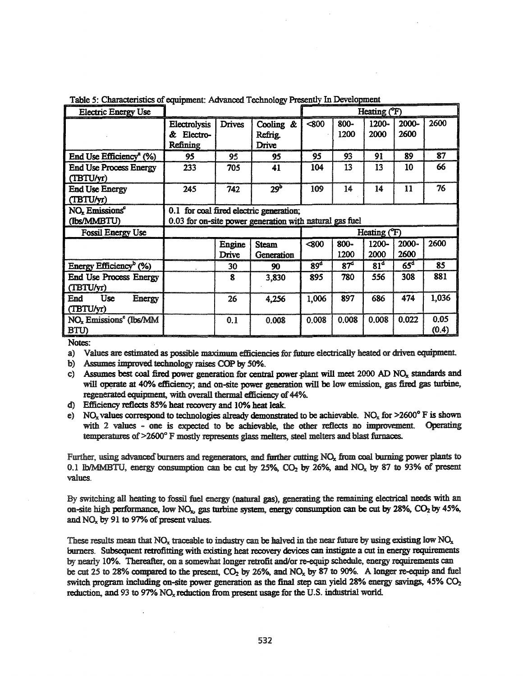| <b>Electric Energy Use</b>                                    |                                                   | Heating (°F)    |                                                                                                    |                 |                 |                 |                  |               |
|---------------------------------------------------------------|---------------------------------------------------|-----------------|----------------------------------------------------------------------------------------------------|-----------------|-----------------|-----------------|------------------|---------------|
|                                                               | Electrolysis<br>Electro-<br>&.<br><b>Refining</b> | <b>Drives</b>   | Cooling &<br>Refrig.<br><b>Drive</b>                                                               | < 800           | 800-<br>1200    | 1200-<br>2000   | 2000-<br>2600    | 2600          |
| End Use Efficiency <sup>a</sup> (%)                           | 95                                                | 95              | 95                                                                                                 | 95              | 93              | 91              | 89               | 87            |
| <b>End Use Process Energy</b><br>(TBTU/yr)                    | 233                                               | 705             | 41                                                                                                 | 104             | 13              | 13              | 10               | 66            |
| <b>End Use Energy</b><br>(TBTU/yr)                            | 245                                               | 742             | 29 <sup>b</sup>                                                                                    | 109             | 14              | 14              | 11               | 76            |
| NO <sub>x</sub> Emissions <sup>e</sup><br>(Ibs/MMBTU)         |                                                   |                 | 0.1 for coal fired electric generation;<br>0.03 for on-site power generation with natural gas fuel |                 |                 |                 |                  |               |
| <b>Fossil Energy Use</b>                                      |                                                   |                 |                                                                                                    | Heating (F)     |                 |                 |                  |               |
|                                                               |                                                   | Engine<br>Drive | <b>Steam</b><br>Generation                                                                         | < 800           | 800-<br>1200    | 1200-<br>2000   | $2000 -$<br>2600 | 2600          |
| Energy Efficiency <sup>b</sup> $(\%)$                         |                                                   | 30              | 90                                                                                                 | 89 <sup>d</sup> | 87 <sup>d</sup> | 81 <sup>d</sup> | 65 <sup>d</sup>  | 85            |
| <b>End Use Process Energy</b><br>(TBTU/yr)                    |                                                   | 8               | 3,830                                                                                              | 895             | 780             | 556             | 308              | 881           |
| Use<br>End<br><b>Energy</b><br>(TBTU/yr)                      |                                                   | 26              | 4,256                                                                                              | 1,006           | 897             | 686             | 474              | 1,036         |
| NO <sub>x</sub> Emissions <sup>e</sup> (Ibs/MM<br><b>BTU)</b> |                                                   | 0.1             | 0.008                                                                                              | 0.008           | 0.008           | 0.008           | 0.022            | 0.05<br>(0.4) |

Table 5: Characteristics of equipment: Advanced Technology Presently In Development

- a) Values are estimated as possible maximum efficiencies for future electrically heated or driven equipment.
- b) Assumes improved technology raises COP by 50%.
- c) Assumes best coal fired power generation for central power plant will meet 2000 AD  $NO<sub>x</sub>$  standards and will operate at 40% efficiency; and on-site power generation will be low emission, gas fired gas turbine, regenerated equipment, with overall thermal efficiency of 44%.
- d) Efficiency reflects 85% heat recovery and 10% heat leak.
- e) NO<sub>x</sub> values correspond to technologies already demonstrated to be achievable. NO<sub>x</sub> for >2600° F is shown with 2 values - one is expected to be achievable, the other reflects no improvement. Operating temperatures of >2600° F mostly represents glass melters, steel melters and blast furnaces.

Further, using advanced burners and regenerators, and further cutting NO<sub>x</sub> from coal burning power plants to 0.1 lb/MMBTU, energy consumption can be cut by 25%, CO<sub>2</sub> by 26%, and NO<sub>x</sub> by 87 to 93% of present values.

By switching all heating to fossil fuel energy (natural gas), generating the remaining electrical needs with an on-site high performance, low  $NO<sub>x</sub>$ , gas turbine system, energy consumption can be cut by 28%,  $CO<sub>2</sub>$  by 45%, and NO<sub>x</sub> by 91 to 97% of present values.

These results mean that  $NO_x$  traceable to industry can be halved in the near future by using existing low  $NO_x$ burners. Subsequent retrofitting with existing heat recovery devices can instigate a cut in energy requirements by nearly 10%. Thereafter, on a somewhat longer retrofit and/or re-equip schedule, energy requirements can be cut 25 to 28% compared to the present, CO<sub>2</sub> by 26%, and NO<sub>x</sub> by 87 to 90%. A longer re-equip and fuel switch program including on-site power generation as the final step can yield 28% energy savings, 45% CO<sub>2</sub> reduction, and 93 to 97% NO<sub>x</sub> reduction from present usage for the U.S. industrial world.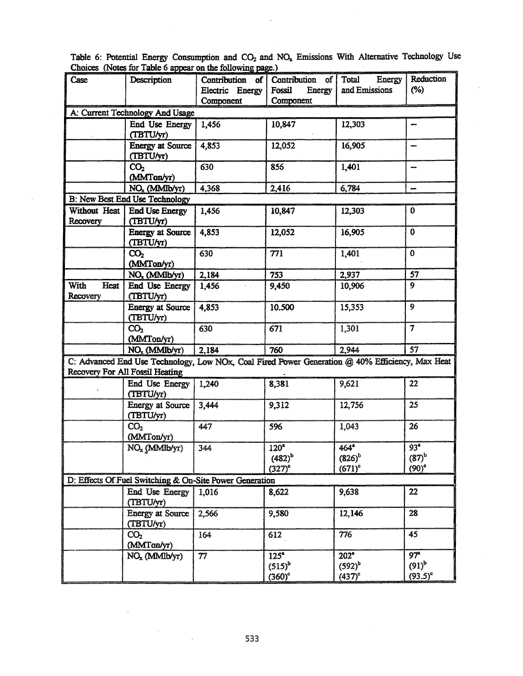|              | .                                                                                               | $\frac{1}{2}$ on the renormality page. |                                 |                      | Reduction                |  |
|--------------|-------------------------------------------------------------------------------------------------|----------------------------------------|---------------------------------|----------------------|--------------------------|--|
| Case         | Description                                                                                     |                                        | Contribution of Contribution of | Total Energy         |                          |  |
|              |                                                                                                 | Electric Energy                        | Fossil<br>Energy                | and Emissions        | $(\%)$                   |  |
|              |                                                                                                 | Component                              | Component                       |                      |                          |  |
|              | A: Current Technology And Usage                                                                 |                                        |                                 |                      |                          |  |
|              | End Use Energy                                                                                  | 1,456                                  | 10,847                          | 12,303               | anno                     |  |
|              | (TBTU/yr)                                                                                       |                                        |                                 |                      |                          |  |
|              | <b>Energy at Source</b>                                                                         | 4,853                                  | 12,052                          | 16,905               | ques                     |  |
|              | (TBTU/yr)                                                                                       |                                        |                                 |                      |                          |  |
|              | CO <sub>2</sub>                                                                                 | 630                                    | 855                             | 1,401                | $\overline{\phantom{a}}$ |  |
|              | (MMTon/yr)                                                                                      |                                        |                                 |                      |                          |  |
|              | $NO_x (MMI b/yr)$                                                                               | 4,368                                  | 2,416                           | 6,784                |                          |  |
|              | B: New Best End Use Technology                                                                  |                                        |                                 |                      |                          |  |
| Without Heat | <b>End Use Energy</b>                                                                           | 1,456                                  | 10,847                          |                      | $\bf{0}$                 |  |
|              |                                                                                                 |                                        |                                 | 12,303               |                          |  |
| Recovery     | (TBTU/yr)                                                                                       |                                        |                                 |                      |                          |  |
|              | <b>Energy at Source</b>                                                                         | 4,853                                  | 12,052                          | 16,905               | $\mathbf 0$              |  |
|              | (TBTU/yr)                                                                                       |                                        |                                 |                      |                          |  |
|              | CO <sub>2</sub>                                                                                 | 630                                    | 771                             | 1,401                | $\mathbf 0$              |  |
|              | (MMTon/yr)                                                                                      |                                        |                                 |                      |                          |  |
|              | $NO_x (MMlbyr)$                                                                                 | 2,184                                  | 753                             | 2,937                | 57                       |  |
| With<br>Heat | End Use Energy                                                                                  | 1,456                                  | 9,450                           | 10,906               | 9                        |  |
| Recovery     | (TBTU/yr)                                                                                       |                                        |                                 |                      |                          |  |
|              | <b>Energy at Source</b>                                                                         | 4,853                                  | 10.500                          | 15,353               | 9                        |  |
|              | (TBTU/yr)                                                                                       |                                        |                                 |                      |                          |  |
|              | CO <sub>2</sub>                                                                                 | 630                                    | 671                             | 1,301                | 7                        |  |
|              | (MMTon/yr)                                                                                      |                                        |                                 |                      |                          |  |
|              | $NO_x (MMI b/yr)$                                                                               | 2,184                                  | 760                             | 2,944                | 57                       |  |
|              | C: Advanced End Use Technology, Low NOx, Coal Fired Power Generation @ 40% Efficiency, Max Heat |                                        |                                 |                      |                          |  |
|              | <b>Recovery For All Fossil Heating</b>                                                          |                                        |                                 |                      |                          |  |
|              |                                                                                                 |                                        |                                 |                      |                          |  |
|              | End Use Energy                                                                                  | 1,240                                  | 8,381                           | 9,621                | 22                       |  |
|              | (TBTU/yr)                                                                                       |                                        |                                 |                      |                          |  |
|              | <b>Energy at Source</b>                                                                         | 3,444                                  | 9,312                           | 12,756               | 25                       |  |
|              | (TBTU/yr)                                                                                       |                                        |                                 |                      |                          |  |
|              | CO <sub>2</sub>                                                                                 | 447                                    | 596                             | 1,043                | 26                       |  |
|              | (MMTon/yr)                                                                                      |                                        |                                 |                      |                          |  |
|              | NO <sub>x</sub> (MMIb/yr)                                                                       | 344                                    | 120 <sup>°</sup>                | $464^{\circ}$        | 93 <sup>a</sup>          |  |
|              |                                                                                                 |                                        | $(482)^{b}$                     | $(826)^{b}$          | $(87)$ <sup>b</sup>      |  |
|              |                                                                                                 |                                        | $(327)$ <sup>c</sup>            | $(671)^c$            | $(90)$ °                 |  |
|              | D: Effects Of Fuel Switching & On-Site Power Generation                                         |                                        |                                 |                      |                          |  |
|              | <b>End Use Energy</b>                                                                           | 1,016                                  | 8,622                           | 9,638                | 22                       |  |
|              | (TBTU/yr)                                                                                       |                                        |                                 |                      |                          |  |
|              | <b>Energy at Source</b>                                                                         | 2,566                                  | 9,580                           | 12,146               | 28                       |  |
|              | (TBTU/yr)                                                                                       |                                        |                                 |                      |                          |  |
|              |                                                                                                 |                                        |                                 | 776                  | 45                       |  |
|              | CO <sub>2</sub>                                                                                 | 164                                    | 612                             |                      |                          |  |
|              | (MMTon/yr)                                                                                      |                                        |                                 |                      | 97 <sup>a</sup>          |  |
|              | $NO_x (MMI b/yr)$                                                                               | 77                                     | $\overline{125^a}$              | 202 <sup>a</sup>     |                          |  |
|              |                                                                                                 |                                        | $(515)^{b}$                     | $(592)^b$            | $(91)^b$                 |  |
|              |                                                                                                 |                                        | $(360)$ <sup>c</sup>            | $(437)$ <sup>c</sup> | $(93.5)^c$               |  |

Table 6: Potential Energy Consumption and  $CO_2$  and  $NO_x$  Emissions With Alternative Technology Use Choices (Notes for Table 6 appear on the following page.)

 $\ddot{\phantom{0}}$ 

 $\boldsymbol{\cdot}$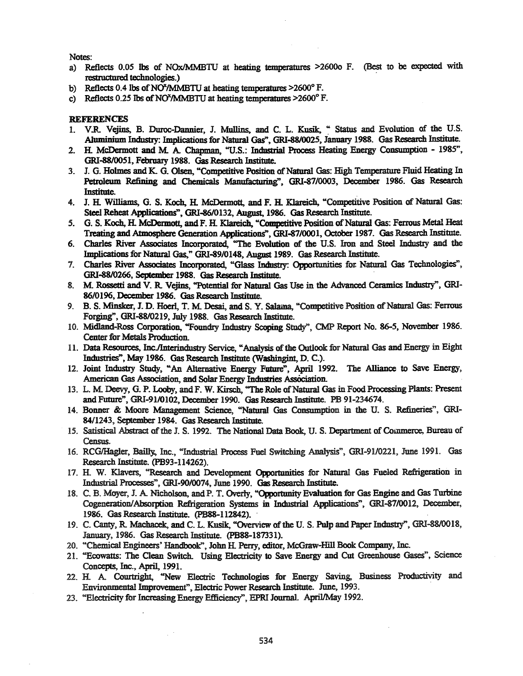- a) Reflects 0.05 Ibs of NOxIMMBTU at heating temperatures >26000 F. (Best to be expected with restructured technologies.)
- b) Reflects 0.4 lbs of NO<sup>x</sup>/MMBTU at heating temperatures  $>2600^{\circ}$  F.
- c) Reflects 0.25 lbs of NO<sup>x</sup>/MMBTU at heating temperatures  $>2600^{\circ}$  F.

#### **REFERENCES**

- 1. V.R Vejins, B. Duroc:-Dannier, J. Mullins., and C. L. Kosik, " Status and Evolution of the U.S. Aluminium Industry: Implications for Natural Gas", GRI-88/0025, January 1988. Gas Research Institute.
- 2. H. McDermott and M. A. Chapman, "U.S.: Industrial Process Heating Energy Consumption 1985", GRI-88/0051. February 1988. Gas Research Institute.
- 3. J. G. Holmes and K. G. Olsen, "Competitive Position of Natural Gas: High Temperature Fluid Heating In Petroleum Refining and Chemicals Manufacturing". GRI-8710003. December 1986. Gas Research Institute.
- 4. J. H. Williams, G. S. Koch, H. McDermott, and F. H. Klareich, "Competitive Position of Natural Gas: Steel Reheat Applications", GRI-86/0132, August, 1986. Gas Research Institute.
- 5. G. S. Koch. H. McDermott, and F. H. Klareich. "Competitive Position of Natural Gas: Ferrous Metal Heat Treating and Atmosphere Generation Applications", GRI-87/0001, October 1987. Gas Research Institute.
- 6. Charles River Associates Incorporated, "The Evolution of the U.S. Iron and Steel Industry and the Implications for Natural Gas," GRI-89/0148, August 1989. Gas Research Institute.
- 1. Charles River Associates Incorporated, "Glass Industry: Opportunities for. Natural Gas Technologies", GRI-88I0266. 8eptember 1988. Gas Research Institute,
- 8. M Rossetti and V. R Vejins, "Potential for Natmal Gas Use in the Advanced Ceramics Industry". GRI-86/0196. December 1986. Gas Research Institute.
- 9. B. S. Minsker, J. D. Hoerl, T. M. Desai, and S. Y. Salama, "Competitive Position of Natural Gas: Ferrous Forging", GRI-88/0219, July 1988. Gas Research Institute.
- 10. Midland-Ross Corporation, "Foundry Industry Scoping Study", CMP Report No. 86-5, November 1986. Center for Metals Production.
- 11. Data Resources, Inc./Interindustry Service, "Analysis of the Outlook for Natural Gas and Energy in Eight Industries". May 1986. Gas Research Institute (Washingint, D. C.).
- 12. Joint Industry Study, "An Alternative Energy Future". April 1992. The Alliance to Save Energy, American Gas Association, and Solar Energy Industries Association.
- 13. L. M. Deevy, G. P. Looby, and F. W. Kirsch, "The Role of Natural Gas in Food Processing Plants: Present and Future". GRI-9110102. December 1990. Gas Research Institute. PB 91-234674.
- 14. Bonner & Moore Management Science. "Natural Gas Conswnption in the U. S. Refineries", GRI-84/1243, 8eptember 1984. Gas Research Institute.
- 15. Satistical Abstract of the J. S. 1992. The National Data Book, U. S. Department of Commerce, Bureau of Census.
- 16. RCGlHagler, Bailly. Inc., "Industrial Process Fuel Switching Analysis". GRI-91/0221. June 1991. Gas Research Institute. (PB93-114262).
- 17. H. W. Klavers, "Research and Development Opportunities for Natural Gas Fueled Refrigeration in Industrial Processes", GRI-90/0074, June 1990. Gas Research Institute.
- 18. C. B. Moyer, J. A Nicholson, and P. T. Overly, "Opportunity Evaluation for Gas Engine and Gas Turbine Cogeneration/Absorption Refrigeration Systems in Industrial Applications", GRI-87/0012, December, 1986. Gas Research Institute. (PB88-112842). .
- 19. C. Canty, R Machacek, and C. L. Kosik, "Overview ofthe U. S. Pulp and Paper Indostty", GRI-8810018, January, 1986. Gas Research Institute. (PB88-187331).
- 20. "Chemical Engineers' Handbook", John R Perry, editor, McGraw-Hill Book Company. Inc.
- 21. "Eoowatts: The Clean Switch. Using Electricity to Save Energy and Cut Greenhouse Gases", Science Concepts, Inc., April, 1991.
- 22. H. A Courtright, "New Electric Technologies for Energy Saving, Business Productivity and Environmental Improvement", Electric Power Research Institute. June, 1993.
- 23. "Electricity for Increasing Energy Efficiency", EPRI Joumal. AprilIMay 1992.